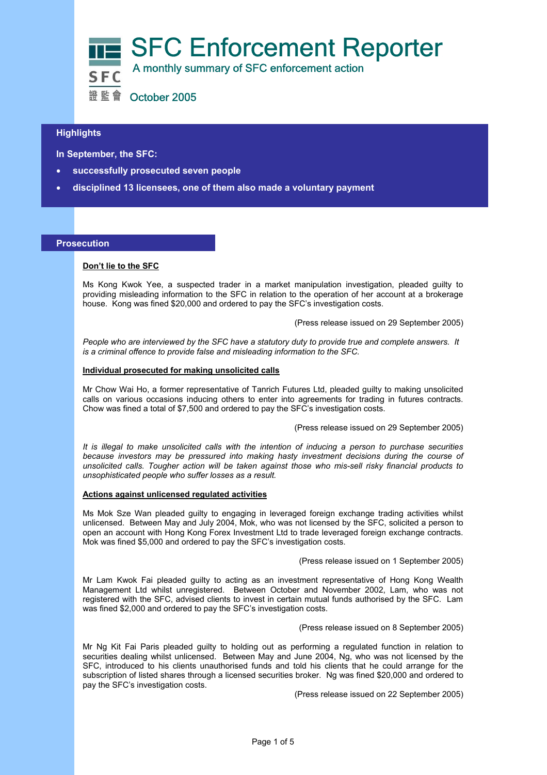

### $\overline{a}$ **Highlights**

 **In September, the SFC:** 

- **successfully prosecuted seven people**
- **disciplined 13 licensees, one of them also made a voluntary payment**

#### **Prosecution**

#### **Don't lie to the SFC**

Ms Kong Kwok Yee, a suspected trader in a market manipulation investigation, pleaded guilty to providing misleading information to the SFC in relation to the operation of her account at a brokerage house. Kong was fined \$20,000 and ordered to pay the SFC's investigation costs.

(Press release issued on 29 September 2005)

*People who are interviewed by the SFC have a statutory duty to provide true and complete answers. It is a criminal offence to provide false and misleading information to the SFC.*

#### **Individual prosecuted for making unsolicited calls**

Mr Chow Wai Ho, a former representative of Tanrich Futures Ltd, pleaded guilty to making unsolicited calls on various occasions inducing others to enter into agreements for trading in futures contracts. Chow was fined a total of \$7,500 and ordered to pay the SFC's investigation costs.

(Press release issued on 29 September 2005)

*It is illegal to make unsolicited calls with the intention of inducing a person to purchase securities because investors may be pressured into making hasty investment decisions during the course of unsolicited calls. Tougher action will be taken against those who mis-sell risky financial products to unsophisticated people who suffer losses as a result.*

#### **Actions against unlicensed regulated activities**

Ms Mok Sze Wan pleaded guilty to engaging in leveraged foreign exchange trading activities whilst unlicensed. Between May and July 2004, Mok, who was not licensed by the SFC, solicited a person to open an account with Hong Kong Forex Investment Ltd to trade leveraged foreign exchange contracts. Mok was fined \$5,000 and ordered to pay the SFC's investigation costs.

(Press release issued on 1 September 2005)

Mr Lam Kwok Fai pleaded guilty to acting as an investment representative of Hong Kong Wealth Management Ltd whilst unregistered. Between October and November 2002, Lam, who was not registered with the SFC, advised clients to invest in certain mutual funds authorised by the SFC. Lam was fined \$2,000 and ordered to pay the SFC's investigation costs.

(Press release issued on 8 September 2005)

Mr Ng Kit Fai Paris pleaded guilty to holding out as performing a regulated function in relation to securities dealing whilst unlicensed. Between May and June 2004, Ng, who was not licensed by the SFC, introduced to his clients unauthorised funds and told his clients that he could arrange for the subscription of listed shares through a licensed securities broker. Ng was fined \$20,000 and ordered to pay the SFC's investigation costs.

(Press release issued on 22 September 2005)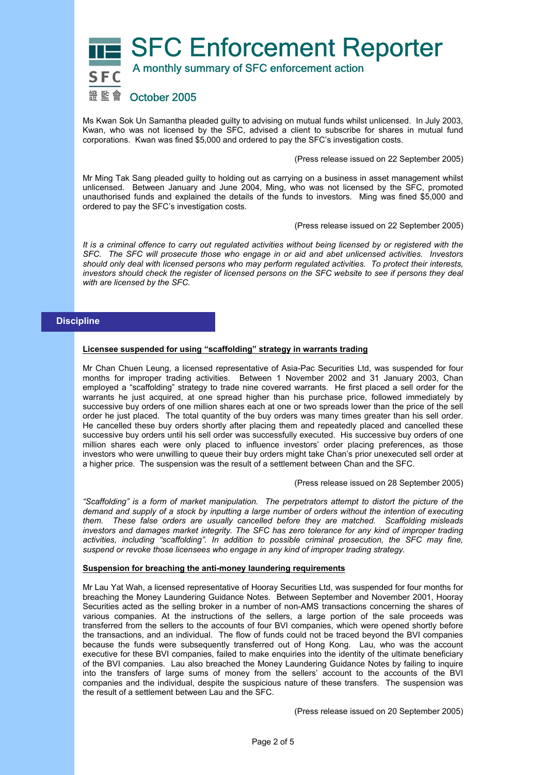SFC Enforcement Reporter A monthly summary of SFC enforcement action



Ms Kwan Sok Un Samantha pleaded guilty to advising on mutual funds whilst unlicensed. In July 2003, Kwan, who was not licensed by the SFC, advised a client to subscribe for shares in mutual fund corporations. Kwan was fined \$5,000 and ordered to pay the SFC's investigation costs.

(Press release issued on 22 September 2005)

Mr Ming Tak Sang pleaded guilty to holding out as carrying on a business in asset management whilst unlicensed. Between January and June 2004, Ming, who was not licensed by the SFC, promoted unauthorised funds and explained the details of the funds to investors. Ming was fined \$5,000 and ordered to pay the SFC's investigation costs.

(Press release issued on 22 September 2005)

*It is a criminal offence to carry out regulated activities without being licensed by or registered with the SFC. The SFC will prosecute those who engage in or aid and abet unlicensed activities. Investors should only deal with licensed persons who may perform regulated activities. To protect their interests, investors should check the register of licensed persons on the SFC website to see if persons they deal with are licensed by the SFC.* 

## **Discipline**

#### **Licensee suspended for using "scaffolding" strategy in warrants trading**

Mr Chan Chuen Leung, a licensed representative of Asia-Pac Securities Ltd, was suspended for four months for improper trading activities. Between 1 November 2002 and 31 January 2003, Chan employed a "scaffolding" strategy to trade nine covered warrants. He first placed a sell order for the warrants he just acquired, at one spread higher than his purchase price, followed immediately by successive buy orders of one million shares each at one or two spreads lower than the price of the sell order he just placed. The total quantity of the buy orders was many times greater than his sell order. He cancelled these buy orders shortly after placing them and repeatedly placed and cancelled these successive buy orders until his sell order was successfully executed. His successive buy orders of one million shares each were only placed to influence investors' order placing preferences, as those investors who were unwilling to queue their buy orders might take Chan's prior unexecuted sell order at a higher price. The suspension was the result of a settlement between Chan and the SFC.

(Press release issued on 28 September 2005)

*"Scaffolding" is a form of market manipulation. The perpetrators attempt to distort the picture of the demand and supply of a stock by inputting a large number of orders without the intention of executing them. These false orders are usually cancelled before they are matched. Scaffolding misleads investors and damages market integrity. The SFC has zero tolerance for any kind of improper trading activities, including "scaffolding". In addition to possible criminal prosecution, the SFC may fine, suspend or revoke those licensees who engage in any kind of improper trading strategy.*

#### **Suspension for breaching the anti-money laundering requirements**

Mr Lau Yat Wah, a licensed representative of Hooray Securities Ltd, was suspended for four months for breaching the Money Laundering Guidance Notes. Between September and November 2001, Hooray Securities acted as the selling broker in a number of non-AMS transactions concerning the shares of various companies. At the instructions of the sellers, a large portion of the sale proceeds was transferred from the sellers to the accounts of four BVI companies, which were opened shortly before the transactions, and an individual. The flow of funds could not be traced beyond the BVI companies because the funds were subsequently transferred out of Hong Kong. Lau, who was the account executive for these BVI companies, failed to make enquiries into the identity of the ultimate beneficiary of the BVI companies. Lau also breached the Money Laundering Guidance Notes by failing to inquire into the transfers of large sums of money from the sellers' account to the accounts of the BVI companies and the individual, despite the suspicious nature of these transfers. The suspension was the result of a settlement between Lau and the SFC.

(Press release issued on 20 September 2005)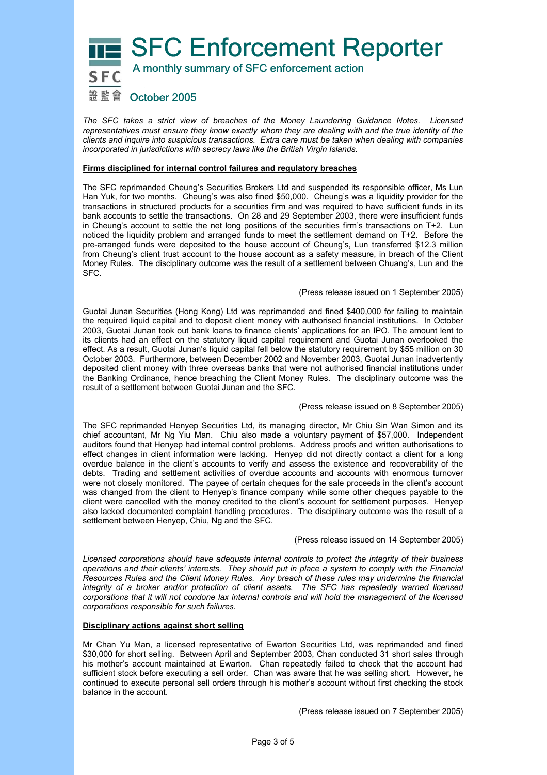SFC Enforcement Reporter



A monthly summary of SFC enforcement action

# 證監會 October 2005

*The SFC takes a strict view of breaches of the Money Laundering Guidance Notes. Licensed representatives must ensure they know exactly whom they are dealing with and the true identity of the clients and inquire into suspicious transactions. Extra care must be taken when dealing with companies incorporated in jurisdictions with secrecy laws like the British Virgin Islands.* 

#### **Firms disciplined for internal control failures and regulatory breaches**

The SFC reprimanded Cheung's Securities Brokers Ltd and suspended its responsible officer, Ms Lun Han Yuk, for two months. Cheung's was also fined \$50,000. Cheung's was a liquidity provider for the transactions in structured products for a securities firm and was required to have sufficient funds in its bank accounts to settle the transactions. On 28 and 29 September 2003, there were insufficient funds in Cheung's account to settle the net long positions of the securities firm's transactions on T+2. Lun noticed the liquidity problem and arranged funds to meet the settlement demand on T+2. Before the pre-arranged funds were deposited to the house account of Cheung's, Lun transferred \$12.3 million from Cheung's client trust account to the house account as a safety measure, in breach of the Client Money Rules. The disciplinary outcome was the result of a settlement between Chuang's, Lun and the SFC.

#### (Press release issued on 1 September 2005)

Guotai Junan Securities (Hong Kong) Ltd was reprimanded and fined \$400,000 for failing to maintain the required liquid capital and to deposit client money with authorised financial institutions. In October 2003, Guotai Junan took out bank loans to finance clients' applications for an IPO. The amount lent to its clients had an effect on the statutory liquid capital requirement and Guotai Junan overlooked the effect. As a result, Guotai Junan's liquid capital fell below the statutory requirement by \$55 million on 30 October 2003. Furthermore, between December 2002 and November 2003, Guotai Junan inadvertently deposited client money with three overseas banks that were not authorised financial institutions under the Banking Ordinance, hence breaching the Client Money Rules. The disciplinary outcome was the result of a settlement between Guotai Junan and the SFC.

#### (Press release issued on 8 September 2005)

The SFC reprimanded Henyep Securities Ltd, its managing director, Mr Chiu Sin Wan Simon and its chief accountant, Mr Ng Yiu Man. Chiu also made a voluntary payment of \$57,000. Independent auditors found that Henyep had internal control problems. Address proofs and written authorisations to effect changes in client information were lacking. Henyep did not directly contact a client for a long overdue balance in the client's accounts to verify and assess the existence and recoverability of the debts. Trading and settlement activities of overdue accounts and accounts with enormous turnover were not closely monitored. The payee of certain cheques for the sale proceeds in the client's account was changed from the client to Henyep's finance company while some other cheques payable to the client were cancelled with the money credited to the client's account for settlement purposes. Henyep also lacked documented complaint handling procedures. The disciplinary outcome was the result of a settlement between Henyep, Chiu, Ng and the SFC.

#### (Press release issued on 14 September 2005)

*Licensed corporations should have adequate internal controls to protect the integrity of their business operations and their clients' interests. They should put in place a system to comply with the Financial Resources Rules and the Client Money Rules. Any breach of these rules may undermine the financial*  integrity of a broker and/or protection of client assets. The SFC has repeatedly warned licensed *corporations that it will not condone lax internal controls and will hold the management of the licensed corporations responsible for such failures.* 

#### **Disciplinary actions against short selling**

Mr Chan Yu Man, a licensed representative of Ewarton Securities Ltd, was reprimanded and fined \$30,000 for short selling. Between April and September 2003, Chan conducted 31 short sales through his mother's account maintained at Ewarton. Chan repeatedly failed to check that the account had sufficient stock before executing a sell order. Chan was aware that he was selling short. However, he continued to execute personal sell orders through his mother's account without first checking the stock balance in the account.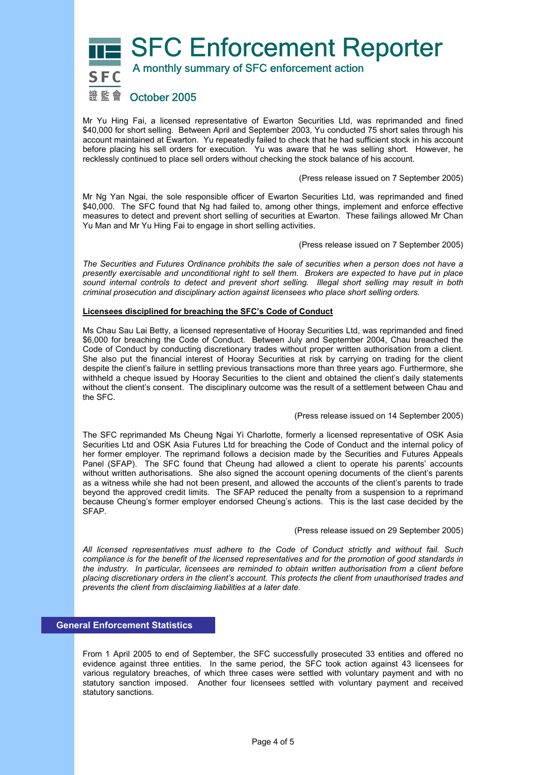SFC Enforcement Reporter

# A monthly summary of SFC enforcement action

# 證監會 October 2005

Mr Yu Hing Fai, a licensed representative of Ewarton Securities Ltd, was reprimanded and fined \$40,000 for short selling. Between April and September 2003, Yu conducted 75 short sales through his account maintained at Ewarton. Yu repeatedly failed to check that he had sufficient stock in his account before placing his sell orders for execution. Yu was aware that he was selling short. However, he recklessly continued to place sell orders without checking the stock balance of his account.

(Press release issued on 7 September 2005)

Mr Ng Yan Ngai, the sole responsible officer of Ewarton Securities Ltd, was reprimanded and fined \$40,000. The SFC found that Ng had failed to, among other things, implement and enforce effective measures to detect and prevent short selling of securities at Ewarton. These failings allowed Mr Chan Yu Man and Mr Yu Hing Fai to engage in short selling activities.

(Press release issued on 7 September 2005)

*The Securities and Futures Ordinance prohibits the sale of securities when a person does not have a presently exercisable and unconditional right to sell them. Brokers are expected to have put in place sound internal controls to detect and prevent short selling. Illegal short selling may result in both criminal prosecution and disciplinary action against licensees who place short selling orders.* 

#### **Licensees disciplined for breaching the SFC's Code of Conduct**

Ms Chau Sau Lai Betty, a licensed representative of Hooray Securities Ltd, was reprimanded and fined \$6,000 for breaching the Code of Conduct. Between July and September 2004, Chau breached the Code of Conduct by conducting discretionary trades without proper written authorisation from a client. She also put the financial interest of Hooray Securities at risk by carrying on trading for the client despite the client's failure in settling previous transactions more than three years ago. Furthermore, she withheld a cheque issued by Hooray Securities to the client and obtained the client's daily statements without the client's consent. The disciplinary outcome was the result of a settlement between Chau and the SFC.

#### (Press release issued on 14 September 2005)

The SFC reprimanded Ms Cheung Ngai Yi Charlotte, formerly a licensed representative of OSK Asia Securities Ltd and OSK Asia Futures Ltd for breaching the Code of Conduct and the internal policy of her former employer. The reprimand follows a decision made by the Securities and Futures Appeals Panel (SFAP). The SFC found that Cheung had allowed a client to operate his parents' accounts without written authorisations. She also signed the account opening documents of the client's parents as a witness while she had not been present, and allowed the accounts of the client's parents to trade beyond the approved credit limits. The SFAP reduced the penalty from a suspension to a reprimand because Cheung's former employer endorsed Cheung's actions. This is the last case decided by the SFAP.

(Press release issued on 29 September 2005)

*All licensed representatives must adhere to the Code of Conduct strictly and without fail. Such compliance is for the benefit of the licensed representatives and for the promotion of good standards in the industry. In particular, licensees are reminded to obtain written authorisation from a client before placing discretionary orders in the client's account. This protects the client from unauthorised trades and prevents the client from disclaiming liabilities at a later date.* 

## **General Enforcement Statistics**

From 1 April 2005 to end of September, the SFC successfully prosecuted 33 entities and offered no evidence against three entities. In the same period, the SFC took action against 43 licensees for various regulatory breaches, of which three cases were settled with voluntary payment and with no statutory sanction imposed. Another four licensees settled with voluntary payment and received statutory sanctions.